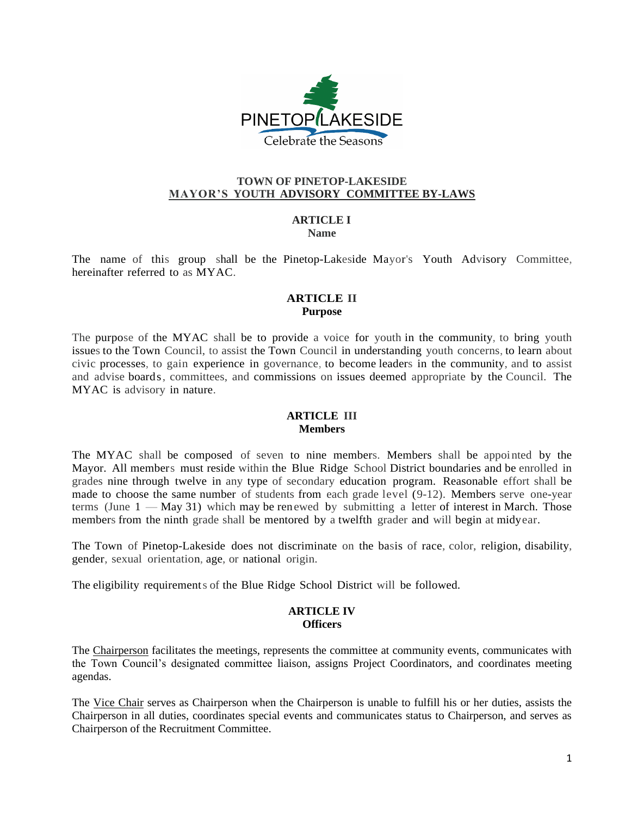

## **TOWN OF PINETOP-LAKESIDE MAYOR'S YOUTH ADVISORY COMMITTEE BY-LAWS**

#### **ARTICLE I Name**

The name of this group shall be the Pinetop-Lakeside Mayor's Youth Advisory Committee, hereinafter referred to as MYAC.

# **ARTICLE II Purpose**

The purpose of the MYAC shall be to provide a voice for youth in the community, to bring youth issues to the Town Council, to assist the Town Council in understanding youth concerns, to learn about civic processes, to gain experience in governance, to become leaders in the community, and to assist and advise boards, committees, and commissions on issues deemed appropriate by the Council. The MYAC is advisory in nature.

## **ARTICLE III Members**

The MYAC shall be composed of seven to nine members. Members shall be appointed by the Mayor. All members must reside within the Blue Ridge School District boundaries and be enrolled in grades nine through twelve in any type of secondary education program. Reasonable effort shall be made to choose the same number of students from each grade level (9-12). Members serve one-year terms (June  $1 - May 31$ ) which may be renewed by submitting a letter of interest in March. Those members from the ninth grade shall be mentored by a twelfth grader and will begin at midyear.

The Town of Pinetop-Lakeside does not discriminate on the basis of race, color, religion, disability, gender, sexual orientation, age, or national origin.

The eligibility requirements of the Blue Ridge School District will be followed.

#### **ARTICLE IV Officers**

The Chairperson facilitates the meetings, represents the committee at community events, communicates with the Town Council's designated committee liaison, assigns Project Coordinators, and coordinates meeting agendas.

The Vice Chair serves as Chairperson when the Chairperson is unable to fulfill his or her duties, assists the Chairperson in all duties, coordinates special events and communicates status to Chairperson, and serves as Chairperson of the Recruitment Committee.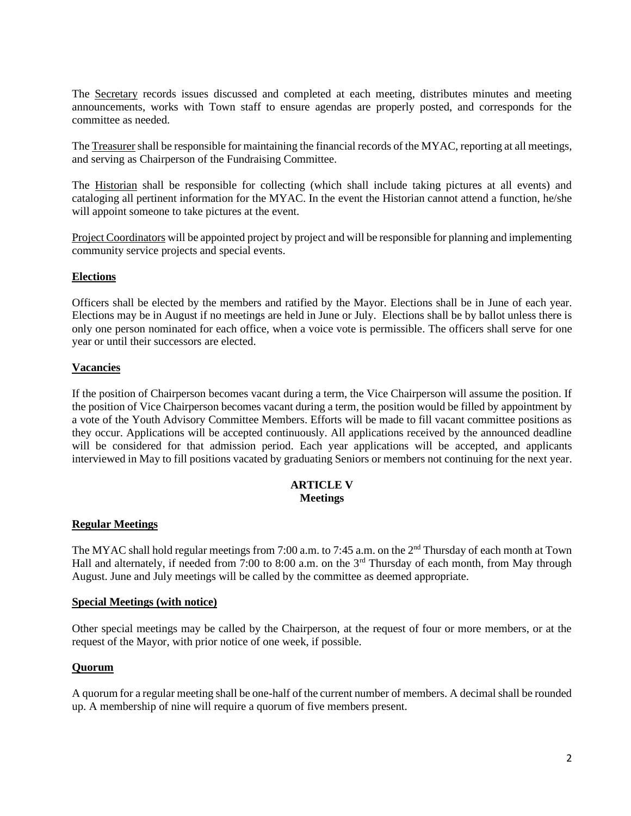The Secretary records issues discussed and completed at each meeting, distributes minutes and meeting announcements, works with Town staff to ensure agendas are properly posted, and corresponds for the committee as needed.

The Treasurer shall be responsible for maintaining the financial records of the MYAC, reporting at all meetings, and serving as Chairperson of the Fundraising Committee.

The Historian shall be responsible for collecting (which shall include taking pictures at all events) and cataloging all pertinent information for the MYAC. In the event the Historian cannot attend a function, he/she will appoint someone to take pictures at the event.

Project Coordinators will be appointed project by project and will be responsible for planning and implementing community service projects and special events.

## **Elections**

Officers shall be elected by the members and ratified by the Mayor. Elections shall be in June of each year. Elections may be in August if no meetings are held in June or July. Elections shall be by ballot unless there is only one person nominated for each office, when a voice vote is permissible. The officers shall serve for one year or until their successors are elected.

# **Vacancies**

If the position of Chairperson becomes vacant during a term, the Vice Chairperson will assume the position. If the position of Vice Chairperson becomes vacant during a term, the position would be filled by appointment by a vote of the Youth Advisory Committee Members. Efforts will be made to fill vacant committee positions as they occur. Applications will be accepted continuously. All applications received by the announced deadline will be considered for that admission period. Each year applications will be accepted, and applicants interviewed in May to fill positions vacated by graduating Seniors or members not continuing for the next year.

#### **ARTICLE V Meetings**

## **Regular Meetings**

The MYAC shall hold regular meetings from 7:00 a.m. to 7:45 a.m. on the 2<sup>nd</sup> Thursday of each month at Town Hall and alternately, if needed from 7:00 to 8:00 a.m. on the 3<sup>rd</sup> Thursday of each month, from May through August. June and July meetings will be called by the committee as deemed appropriate.

## **Special Meetings (with notice)**

Other special meetings may be called by the Chairperson, at the request of four or more members, or at the request of the Mayor, with prior notice of one week, if possible.

## **Quorum**

A quorum for a regular meeting shall be one-half of the current number of members. A decimal shall be rounded up. A membership of nine will require a quorum of five members present.